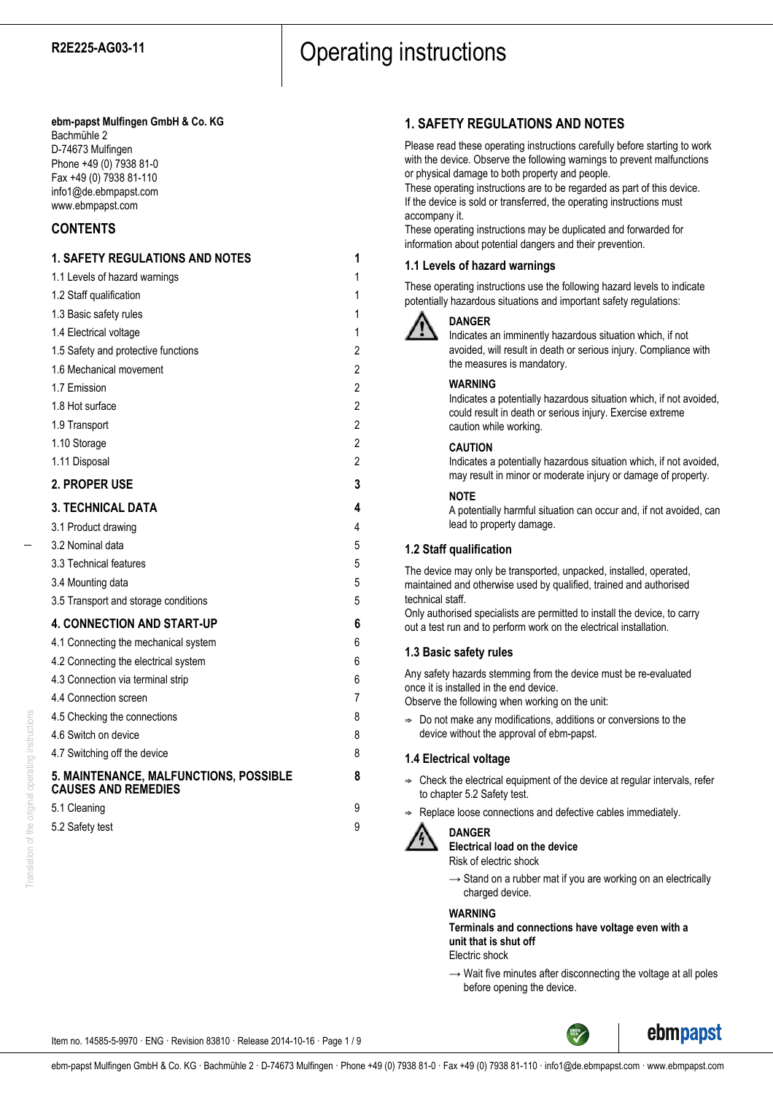#### **ebm-papst Mulfingen GmbH & Co. KG** Bachmühle 2

D-74673 Mulfingen Phone +49 (0) 7938 81-0 Fax +49 (0) 7938 81-110 info1@de.ebmpapst.com www.ebmpapst.com

# **CONTENTS**

# **1. SAFETY REGULATIONS AND NOTES 1** 1.1 Levels of hazard warnings 1 1.2 Staff qualification 1 1.3 Basic safety rules 1 1.4 Electrical voltage 1 1.5 Safety and protective functions 2 1.6 Mechanical movement 2 1.7 Emission 2 1.8 Hot surface 2 1.9 Transport 2 1.10 Storage 2 1.11 Disposal 2 **2. PROPER USE 3 3. TECHNICAL DATA 4** 3.1 Product drawing 4 3.2 Nominal data 5 3.3 Technical features 5 3.4 Mounting data 5 3.5 Transport and storage conditions 5 **4. CONNECTION AND START-UP 6** 4.1 Connecting the mechanical system 6 4.2 Connecting the electrical system 6 4.3 Connection via terminal strip 6 4.4 Connection screen 7 4.5 Checking the connections 8 4.6 Switch on device 8 4.7 Switching off the device 8 **5. MAINTENANCE, MALFUNCTIONS, POSSIBLE 8 CAUSES AND REMEDIES** 5.1 Cleaning 9 5.2 Safety test 9

# **1. SAFETY REGULATIONS AND NOTES**

Please read these operating instructions carefully before starting to work with the device. Observe the following warnings to prevent malfunctions or physical damage to both property and people.

These operating instructions are to be regarded as part of this device. If the device is sold or transferred, the operating instructions must accompany it.

These operating instructions may be duplicated and forwarded for information about potential dangers and their prevention.

# **1.1 Levels of hazard warnings**

These operating instructions use the following hazard levels to indicate potentially hazardous situations and important safety regulations:



## **DANGER**

Indicates an imminently hazardous situation which, if not avoided, will result in death or serious injury. Compliance with the measures is mandatory.

## **WARNING**

Indicates a potentially hazardous situation which, if not avoided, could result in death or serious injury. Exercise extreme caution while working.

#### **CAUTION**

Indicates a potentially hazardous situation which, if not avoided, may result in minor or moderate injury or damage of property.

#### **NOTE**

A potentially harmful situation can occur and, if not avoided, can lead to property damage.

## **1.2 Staff qualification**

The device may only be transported, unpacked, installed, operated, maintained and otherwise used by qualified, trained and authorised technical staff.

Only authorised specialists are permitted to install the device, to carry out a test run and to perform work on the electrical installation.

## **1.3 Basic safety rules**

Any safety hazards stemming from the device must be re-evaluated once it is installed in the end device.

Observe the following when working on the unit:

 $\Rightarrow$  Do not make any modifications, additions or conversions to the device without the approval of ebm-papst.

#### **1.4 Electrical voltage**

- $\Rightarrow$  Check the electrical equipment of the device at regular intervals, refer to chapter 5.2 Safety test.
- Replace loose connections and defective cables immediately.



#### **DANGER**

**Electrical load on the device**

Risk of electric shock

 $\rightarrow$  Stand on a rubber mat if you are working on an electrically charged device.

#### **WARNING**

**Terminals and connections have voltage even with a unit that is shut off**

Electric shock

 $\rightarrow$  Wait five minutes after disconnecting the voltage at all poles before opening the device.

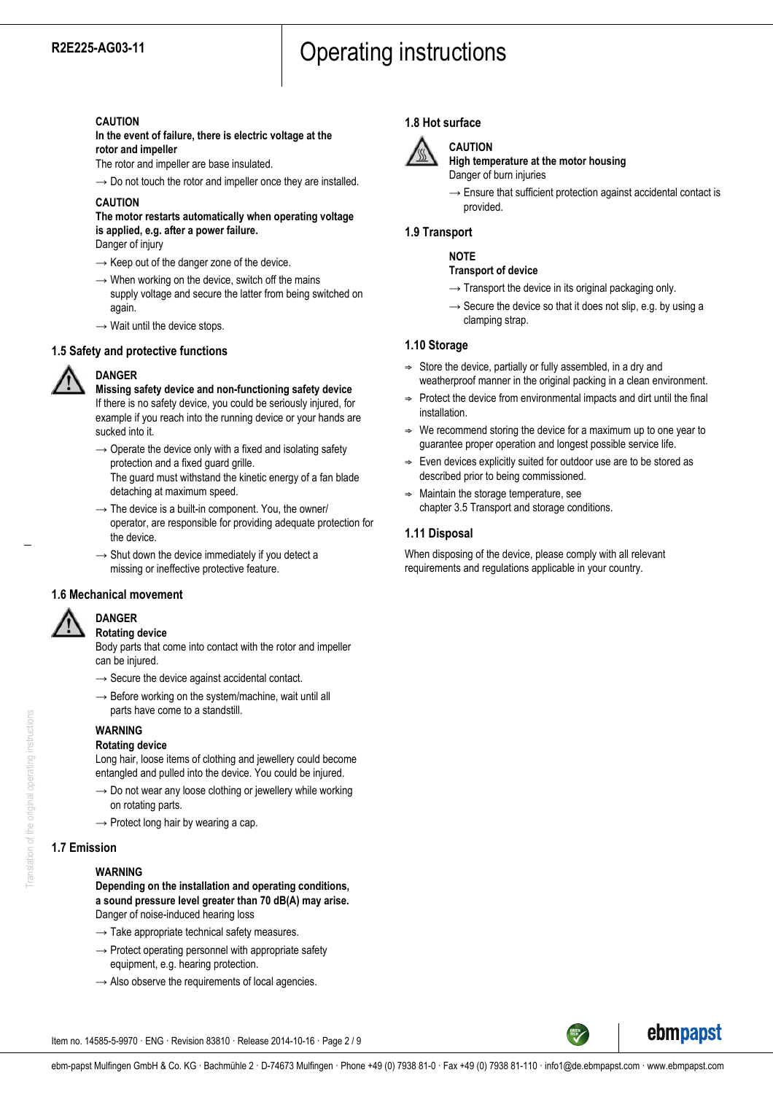### **CAUTION**

**In the event of failure, there is electric voltage at the rotor and impeller**

The rotor and impeller are base insulated.

 $\rightarrow$  Do not touch the rotor and impeller once they are installed.

## **CAUTION**

# **The motor restarts automatically when operating voltage is applied, e.g. after a power failure.**

Danger of injury

- $\rightarrow$  Keep out of the danger zone of the device.
- $\rightarrow$  When working on the device, switch off the mains supply voltage and secure the latter from being switched on again.
- $\rightarrow$  Wait until the device stops.

## **1.5 Safety and protective functions**



**DANGER**

**Missing safety device and non-functioning safety device** If there is no safety device, you could be seriously injured, for example if you reach into the running device or your hands are sucked into it.

- $\rightarrow$  Operate the device only with a fixed and isolating safety protection and a fixed guard grille. The guard must withstand the kinetic energy of a fan blade detaching at maximum speed.
- $\rightarrow$  The device is a built-in component. You, the owner/ operator, are responsible for providing adequate protection for the device.
- $\rightarrow$  Shut down the device immediately if you detect a missing or ineffective protective feature.

#### **1.6 Mechanical movement**



#### **DANGER Rotating device**

Body parts that come into contact with the rotor and impeller can be injured.

- $\rightarrow$  Secure the device against accidental contact.
- $\rightarrow$  Before working on the system/machine, wait until all parts have come to a standstill.

#### **WARNING Rotating device**

Long hair, loose items of clothing and jewellery could become entangled and pulled into the device. You could be injured.

- $\rightarrow$  Do not wear any loose clothing or jewellery while working on rotating parts.
- $\rightarrow$  Protect long hair by wearing a cap.

## **1.7 Emission**

#### **WARNING**

**Depending on the installation and operating conditions, a sound pressure level greater than 70 dB(A) may arise.** Danger of noise-induced hearing loss

- $\rightarrow$  Take appropriate technical safety measures.
- $\rightarrow$  Protect operating personnel with appropriate safety equipment, e.g. hearing protection.
- $\rightarrow$  Also observe the requirements of local agencies.

# **1.8 Hot surface**



# **CAUTION**

**High temperature at the motor housing** Danger of burn injuries

 $\rightarrow$  Ensure that sufficient protection against accidental contact is provided.

## **1.9 Transport**

## **NOTE**

#### **Transport of device**

- $\rightarrow$  Transport the device in its original packaging only.
- $\rightarrow$  Secure the device so that it does not slip, e.g. by using a clamping strap.

## **1.10 Storage**

- $\Rightarrow$  Store the device, partially or fully assembled, in a dry and weatherproof manner in the original packing in a clean environment.
- $\Rightarrow$  Protect the device from environmental impacts and dirt until the final installation.
- We recommend storing the device for a maximum up to one year to guarantee proper operation and longest possible service life.
- $\Rightarrow$  Even devices explicitly suited for outdoor use are to be stored as described prior to being commissioned.
- $\Rightarrow$  Maintain the storage temperature, see chapter 3.5 Transport and storage conditions.

## **1.11 Disposal**

When disposing of the device, please comply with all relevant requirements and regulations applicable in your country.



ebmpapst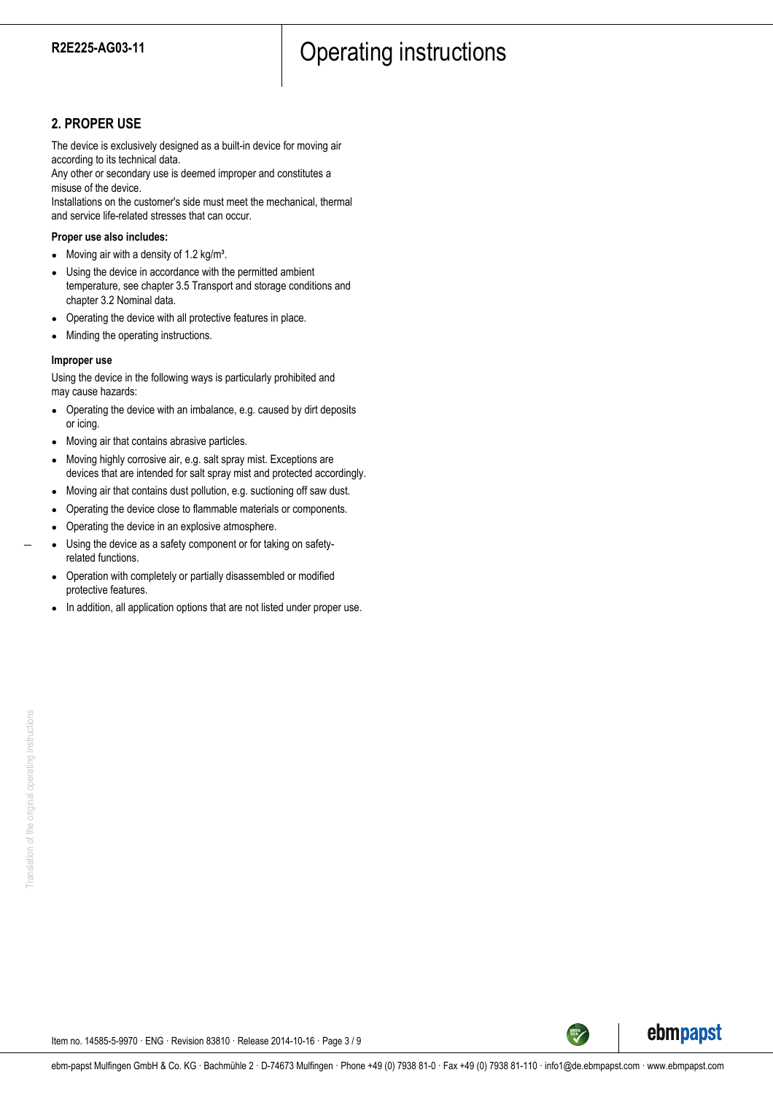# **2. PROPER USE**

The device is exclusively designed as a built-in device for moving air according to its technical data.

Any other or secondary use is deemed improper and constitutes a misuse of the device.

Installations on the customer's side must meet the mechanical, thermal and service life-related stresses that can occur.

#### **Proper use also includes:**

- Moving air with a density of  $1.2 \text{ kg/m}^3$ .
- Using the device in accordance with the permitted ambient temperature, see chapter 3.5 Transport and storage conditions and chapter 3.2 Nominal data.
- Operating the device with all protective features in place.
- Minding the operating instructions.

#### **Improper use**

Using the device in the following ways is particularly prohibited and may cause hazards:

- Operating the device with an imbalance, e.g. caused by dirt deposits or icing.
- Moving air that contains abrasive particles.
- Moving highly corrosive air, e.g. salt spray mist. Exceptions are devices that are intended for salt spray mist and protected accordingly.
- Moving air that contains dust pollution, e.g. suctioning off saw dust.
- Operating the device close to flammable materials or components.
- Operating the device in an explosive atmosphere.
- Using the device as a safety component or for taking on safetyrelated functions.
- Operation with completely or partially disassembled or modified protective features.
- In addition, all application options that are not listed under proper use.

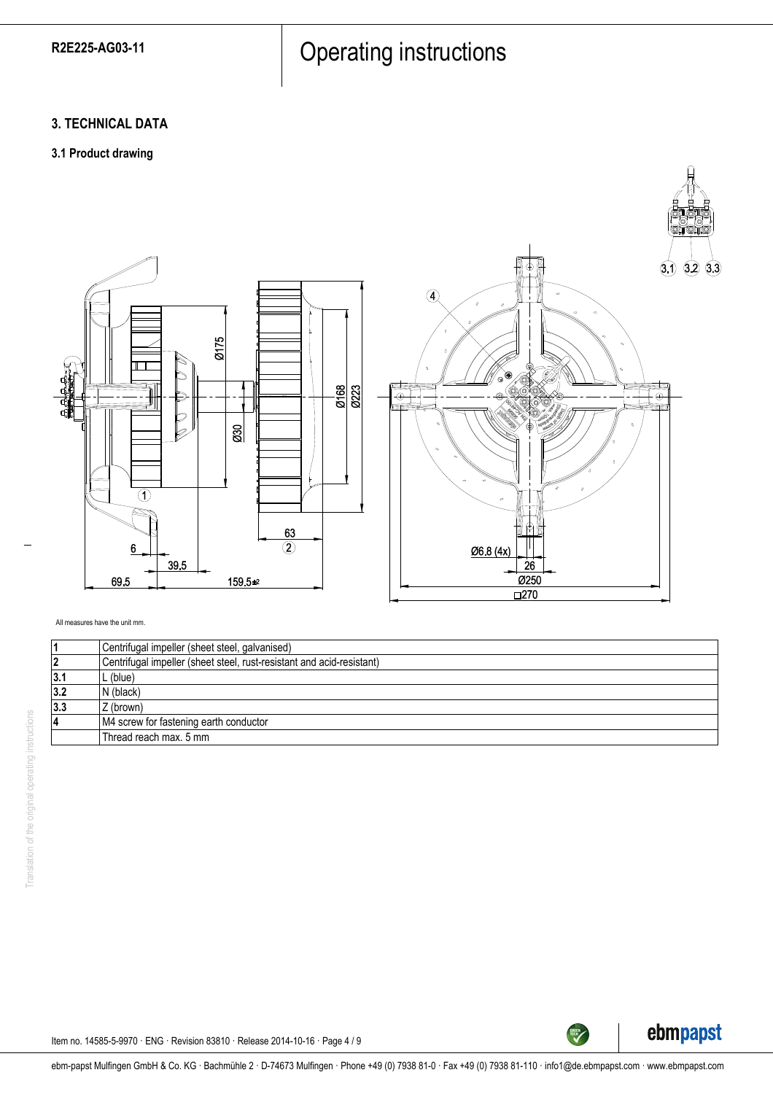# **3. TECHNICAL DATA**

# **3.1 Product drawing**



All measures have the unit mm.

|     | Centrifugal impeller (sheet steel, galvanised)                        |
|-----|-----------------------------------------------------------------------|
| 2   | Centrifugal impeller (sheet steel, rust-resistant and acid-resistant) |
| 3.1 | L (blue)                                                              |
| 3.2 | N (black)                                                             |
| 3.3 | Z (brown)                                                             |
| 4   | M4 screw for fastening earth conductor                                |
|     | Thread reach max, 5 mm                                                |
|     |                                                                       |



 $(3.3)$  $(3.2)$  $(3.1)$ 

 $\Box$ e

Item no. 14585-5-9970 · ENG · Revision 83810 · Release 2014-10-16 · Page 4 / 9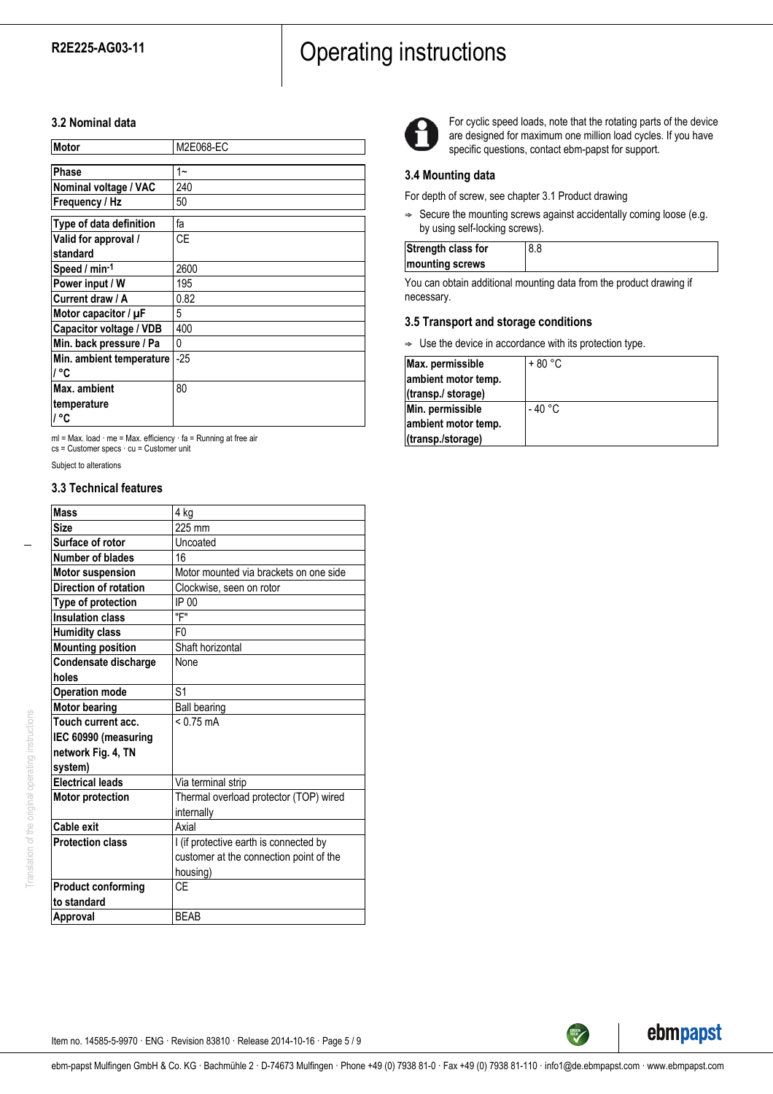#### **3.2 Nominal data**

| Motor                    | M2E068-EC |
|--------------------------|-----------|
|                          |           |
| Phase                    | 1~        |
| Nominal voltage / VAC    | 240       |
| Frequency / Hz           | 50        |
| Type of data definition  | fa        |
| Valid for approval /     | СE        |
| standard                 |           |
| Speed / min-1            | 2600      |
| Power input / W          | 195       |
| Current draw / A         | 0.82      |
| Motor capacitor / µF     | 5         |
| Capacitor voltage / VDB  | 400       |
| Min. back pressure / Pa  | 0         |
| Min. ambient temperature | $-25$     |
| / °C                     |           |
| <b>Max.</b> ambient      | 80        |
| ∣temperature             |           |
| ∣/ °C                    |           |

ml = Max. load · me = Max. efficiency · fa = Running at free air cs = Customer specs · cu = Customer unit

Subject to alterations

#### **3.3 Technical features**

| <b>Mass</b>                  | 4 kg                                    |
|------------------------------|-----------------------------------------|
| <b>Size</b>                  | 225 mm                                  |
| Surface of rotor             | Uncoated                                |
| Number of blades             | 16                                      |
| <b>Motor suspension</b>      | Motor mounted via brackets on one side  |
| <b>Direction of rotation</b> | Clockwise, seen on rotor                |
| Type of protection           | IP 00                                   |
| <b>Insulation class</b>      | "F"                                     |
| <b>Humidity class</b>        | F <sub>0</sub>                          |
| <b>Mounting position</b>     | Shaft horizontal                        |
| Condensate discharge         | None                                    |
| holes                        |                                         |
| <b>Operation mode</b>        | S <sub>1</sub>                          |
| <b>Motor bearing</b>         | <b>Ball bearing</b>                     |
| Touch current acc.           | $< 0.75 \text{ mA}$                     |
| IEC 60990 (measuring         |                                         |
| network Fig. 4, TN           |                                         |
| system)                      |                                         |
| <b>Electrical leads</b>      | Via terminal strip                      |
| <b>Motor protection</b>      | Thermal overload protector (TOP) wired  |
|                              | internally                              |
| Cable exit                   | Axial                                   |
| <b>Protection class</b>      | I (if protective earth is connected by  |
|                              | customer at the connection point of the |
|                              | housing)                                |
| <b>Product conforming</b>    | CF                                      |
| to standard                  |                                         |
| Approval                     | <b>BEAB</b>                             |
|                              |                                         |



For cyclic speed loads, note that the rotating parts of the device are designed for maximum one million load cycles. If you have specific questions, contact ebm-papst for support.

### **3.4 Mounting data**

For depth of screw, see chapter 3.1 Product drawing

 $\Rightarrow$  Secure the mounting screws against accidentally coming loose (e.g. by using self-locking screws).

| Strength class for |  |
|--------------------|--|
| mounting screws    |  |
|                    |  |

You can obtain additional mounting data from the product drawing if necessary.

## **3.5 Transport and storage conditions**

 $\Rightarrow$  Use the device in accordance with its protection type.

| Max. permissible    | $+80 °C$ |
|---------------------|----------|
| ambient motor temp. |          |
| (transp./ storage)  |          |
| Min. permissible    | - 40 °C  |
| ambient motor temp. |          |
| (transp./storage)   |          |



**GREEN**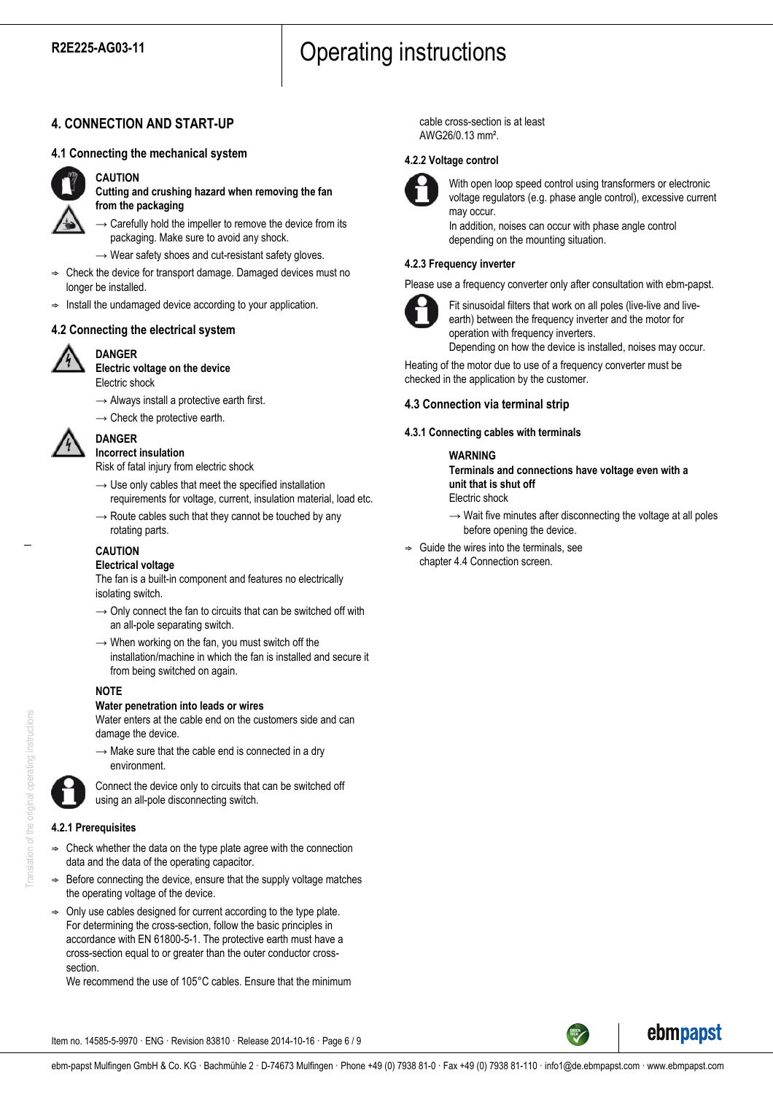# **4. CONNECTION AND START-UP**

### **4.1 Connecting the mechanical system**



#### **CAUTION**

**Cutting and crushing hazard when removing the fan from the packaging**

 $\rightarrow$  Carefully hold the impeller to remove the device from its packaging. Make sure to avoid any shock.

- $\rightarrow$  Wear safety shoes and cut-resistant safety gloves.
- ; Check the device for transport damage. Damaged devices must no longer be installed.
- Install the undamaged device according to your application.

#### **4.2 Connecting the electrical system**



#### **DANGER Electric voltage on the device**

Electric shock

- $\rightarrow$  Always install a protective earth first.
- $\rightarrow$  Check the protective earth.



# **Incorrect insulation**

**DANGER**

Risk of fatal injury from electric shock

- $\rightarrow$  Use only cables that meet the specified installation requirements for voltage, current, insulation material, load etc.
- $\rightarrow$  Route cables such that they cannot be touched by any rotating parts.
- **CAUTION**

# **Electrical voltage**

The fan is a built-in component and features no electrically isolating switch.

- $\rightarrow$  Only connect the fan to circuits that can be switched off with an all-pole separating switch.
- $\rightarrow$  When working on the fan, you must switch off the installation/machine in which the fan is installed and secure it from being switched on again.

#### **NOTE**

#### **Water penetration into leads or wires**

Water enters at the cable end on the customers side and can damage the device.

 $\rightarrow$  Make sure that the cable end is connected in a dry environment.



Connect the device only to circuits that can be switched off using an all-pole disconnecting switch.

#### **4.2.1 Prerequisites**

- ; Check whether the data on the type plate agree with the connection data and the data of the operating capacitor.
- Before connecting the device, ensure that the supply voltage matches the operating voltage of the device.
- Only use cables designed for current according to the type plate. For determining the cross-section, follow the basic principles in accordance with EN 61800-5-1. The protective earth must have a cross-section equal to or greater than the outer conductor crosssection.

We recommend the use of 105°C cables. Ensure that the minimum

cable cross-section is at least AWG26/0.13 mm².

#### **4.2.2 Voltage control**



With open loop speed control using transformers or electronic voltage regulators (e.g. phase angle control), excessive current may occur.

In addition, noises can occur with phase angle control depending on the mounting situation.

#### **4.2.3 Frequency inverter**

Please use a frequency converter only after consultation with ebm-papst.



Fit sinusoidal filters that work on all poles (live-live and liveearth) between the frequency inverter and the motor for operation with frequency inverters. Depending on how the device is installed, noises may occur.

Heating of the motor due to use of a frequency converter must be checked in the application by the customer.

# **4.3 Connection via terminal strip**

#### **4.3.1 Connecting cables with terminals**

#### **WARNING**

**Terminals and connections have voltage even with a unit that is shut off** Electric shock

- $\rightarrow$  Wait five minutes after disconnecting the voltage at all poles before opening the device.
- ; Guide the wires into the terminals, see chapter 4.4 Connection screen.



Item no. 14585-5-9970 · ENG · Revision 83810 · Release 2014-10-16 · Page 6 / 9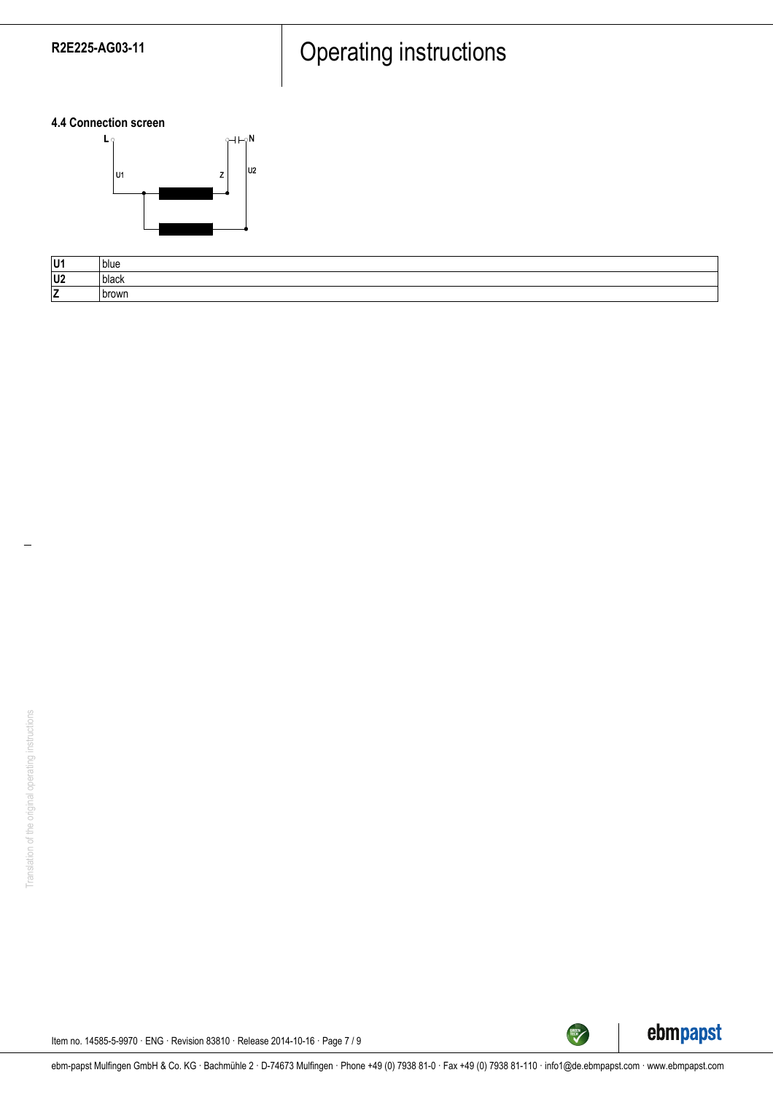**4.4 Connection screen**



| U1             | blue  |
|----------------|-------|
| U <sub>2</sub> | black |
| ∣ →<br>L       | brown |



TECH

Item no. 14585-5-9970 · ENG · Revision 83810 · Release 2014-10-16 · Page 7 / 9

ebm-papst Mulfingen GmbH & Co. KG · Bachmühle 2 · D-74673 Mulfingen · Phone +49 (0) 7938 81-0 · Fax +49 (0) 7938 81-110 · info1@de.ebmpapst.com · www.ebmpapst.com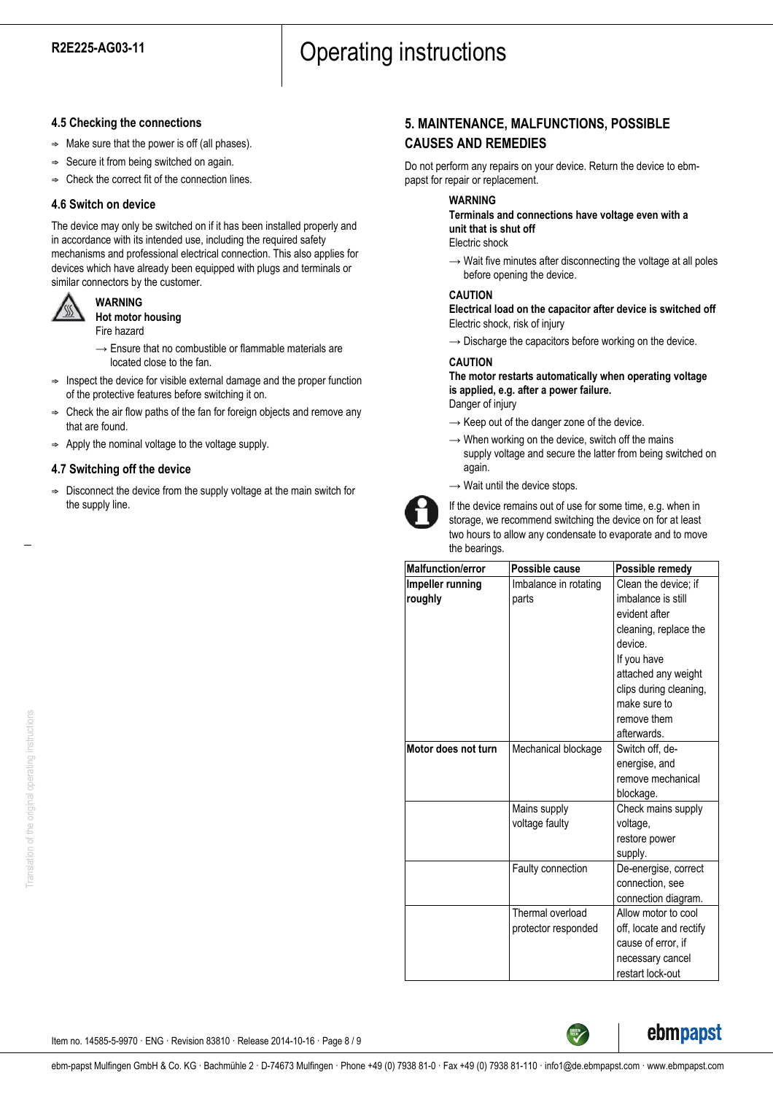## **4.5 Checking the connections**

- $\Rightarrow$  Make sure that the power is off (all phases).
- $\Rightarrow$  Secure it from being switched on again.
- $\Rightarrow$  Check the correct fit of the connection lines.

## **4.6 Switch on device**

The device may only be switched on if it has been installed properly and in accordance with its intended use, including the required safety mechanisms and professional electrical connection. This also applies for devices which have already been equipped with plugs and terminals or similar connectors by the customer.



**WARNING Hot motor housing** Fire hazard

- $\rightarrow$  Ensure that no combustible or flammable materials are located close to the fan.
- $\Rightarrow$  Inspect the device for visible external damage and the proper function of the protective features before switching it on.
- $\Rightarrow$  Check the air flow paths of the fan for foreign objects and remove any that are found.
- $\Rightarrow$  Apply the nominal voltage to the voltage supply.

## **4.7 Switching off the device**

 $\Rightarrow$  Disconnect the device from the supply voltage at the main switch for the supply line.

# **5. MAINTENANCE, MALFUNCTIONS, POSSIBLE CAUSES AND REMEDIES**

Do not perform any repairs on your device. Return the device to ebmpapst for repair or replacement.

#### **WARNING**

**Terminals and connections have voltage even with a unit that is shut off**

Electric shock

 $\rightarrow$  Wait five minutes after disconnecting the voltage at all poles before opening the device.

#### **CAUTION**

**Electrical load on the capacitor after device is switched off** Electric shock, risk of injury

 $\rightarrow$  Discharge the capacitors before working on the device.

## **CAUTION**

#### **The motor restarts automatically when operating voltage is applied, e.g. after a power failure.** Danger of injury

- $\rightarrow$  Keep out of the danger zone of the device.
- $\rightarrow$  When working on the device, switch off the mains supply voltage and secure the latter from being switched on again.
- $\rightarrow$  Wait until the device stops.



If the device remains out of use for some time, e.g. when in storage, we recommend switching the device on for at least two hours to allow any condensate to evaporate and to move the bearings.

| <b>Malfunction/error</b> | Possible cause        | Possible remedy         |
|--------------------------|-----------------------|-------------------------|
| Impeller running         | Imbalance in rotating | Clean the device; if    |
| roughly                  | parts                 | imbalance is still      |
|                          |                       | evident after           |
|                          |                       | cleaning, replace the   |
|                          |                       | device.                 |
|                          |                       | If you have             |
|                          |                       | attached any weight     |
|                          |                       | clips during cleaning,  |
|                          |                       | make sure to            |
|                          |                       | remove them             |
|                          |                       | afterwards.             |
| Motor does not turn      | Mechanical blockage   | Switch off, de-         |
|                          |                       | energise, and           |
|                          |                       | remove mechanical       |
|                          |                       | blockage.               |
|                          | Mains supply          | Check mains supply      |
|                          | voltage faulty        | voltage,                |
|                          |                       | restore power           |
|                          |                       | supply.                 |
|                          | Faulty connection     | De-energise, correct    |
|                          |                       | connection, see         |
|                          |                       | connection diagram.     |
|                          | Thermal overload      | Allow motor to cool     |
|                          | protector responded   | off, locate and rectify |
|                          |                       | cause of error, if      |
|                          |                       | necessary cancel        |
|                          |                       | restart lock-out        |